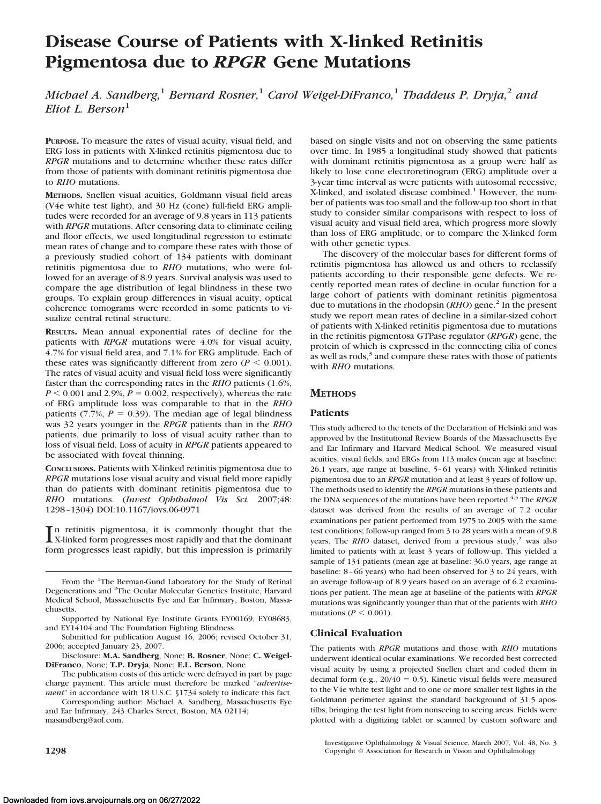# **Disease Course of Patients with X-linked Retinitis Pigmentosa due to** *RPGR* **Gene Mutations**

*Michael A. Sandberg,*<sup>1</sup> *Bernard Rosner,*<sup>1</sup> *Carol Weigel-DiFranco,*<sup>1</sup> *Thaddeus P. Dryja,*<sup>2</sup> *and Eliot L. Berson*<sup>1</sup>

**PURPOSE.** To measure the rates of visual acuity, visual field, and ERG loss in patients with X-linked retinitis pigmentosa due to *RPGR* mutations and to determine whether these rates differ from those of patients with dominant retinitis pigmentosa due to *RHO* mutations.

**METHODS.** Snellen visual acuities, Goldmann visual field areas (V4e white test light), and 30 Hz (cone) full-field ERG amplitudes were recorded for an average of 9.8 years in 113 patients with *RPGR* mutations. After censoring data to eliminate ceiling and floor effects, we used longitudinal regression to estimate mean rates of change and to compare these rates with those of a previously studied cohort of 134 patients with dominant retinitis pigmentosa due to *RHO* mutations, who were followed for an average of 8.9 years. Survival analysis was used to compare the age distribution of legal blindness in these two groups. To explain group differences in visual acuity, optical coherence tomograms were recorded in some patients to visualize central retinal structure.

**RESULTS.** Mean annual exponential rates of decline for the patients with *RPGR* mutations were 4.0% for visual acuity, 4.7% for visual field area, and 7.1% for ERG amplitude. Each of these rates was significantly different from zero ( $P < 0.001$ ). The rates of visual acuity and visual field loss were significantly faster than the corresponding rates in the *RHO* patients (1.6%,  $P \le 0.001$  and 2.9%,  $P = 0.002$ , respectively), whereas the rate of ERG amplitude loss was comparable to that in the *RHO* patients  $(7.7\%, P = 0.39)$ . The median age of legal blindness was 32 years younger in the *RPGR* patients than in the *RHO* patients, due primarily to loss of visual acuity rather than to loss of visual field. Loss of acuity in *RPGR* patients appeared to be associated with foveal thinning.

**CONCLUSIONS.** Patients with X-linked retinitis pigmentosa due to *RPGR* mutations lose visual acuity and visual field more rapidly than do patients with dominant retinitis pigmentosa due to *RHO* mutations. (*Invest Ophthalmol Vis Sci.* 2007;48: 1298 –1304) DOI:10.1167/iovs.06-0971

In retinitis pigmentosa, it is commonly thought that the<br>X-linked form progresses most rapidly and that the dominant X-linked form progresses most rapidly and that the dominant form progresses least rapidly, but this impression is primarily

Disclosure: **M.A. Sandberg**, None; **B. Rosner**, None; **C. Weigel-DiFranco**, None; **T.P. Dryja**, None; **E.L. Berson**, None

The publication costs of this article were defrayed in part by page charge payment. This article must therefore be marked "*advertisement*" in accordance with 18 U.S.C. §1734 solely to indicate this fact.

Corresponding author: Michael A. Sandberg, Massachusetts Eye and Ear Infirmary, 243 Charles Street, Boston, MA 02114; masandberg@aol.com.

based on single visits and not on observing the same patients over time. In 1985 a longitudinal study showed that patients with dominant retinitis pigmentosa as a group were half as likely to lose cone electroretinogram (ERG) amplitude over a 3-year time interval as were patients with autosomal recessive, X-linked, and isolated disease combined.<sup>1</sup> However, the number of patients was too small and the follow-up too short in that study to consider similar comparisons with respect to loss of visual acuity and visual field area, which progress more slowly than loss of ERG amplitude, or to compare the X-linked form with other genetic types.

The discovery of the molecular bases for different forms of retinitis pigmentosa has allowed us and others to reclassify patients according to their responsible gene defects. We recently reported mean rates of decline in ocular function for a large cohort of patients with dominant retinitis pigmentosa due to mutations in the rhodopsin (*RHO*) gene.<sup>2</sup> In the present study we report mean rates of decline in a similar-sized cohort of patients with X-linked retinitis pigmentosa due to mutations in the retinitis pigmentosa GTPase regulator (*RPGR*) gene, the protein of which is expressed in the connecting cilia of cones as well as rods, $3$  and compare these rates with those of patients with *RHO* mutations.

# **METHODS**

# **Patients**

This study adhered to the tenets of the Declaration of Helsinki and was approved by the Institutional Review Boards of the Massachusetts Eye and Ear Infirmary and Harvard Medical School. We measured visual acuities, visual fields, and ERGs from 113 males (mean age at baseline: 26.1 years, age range at baseline, 5– 61 years) with X-linked retinitis pigmentosa due to an *RPGR* mutation and at least 3 years of follow-up. The methods used to identify the *RPGR* mutations in these patients and the DNA sequences of the mutations have been reported.<sup>4,5</sup> The *RPGR* dataset was derived from the results of an average of 7.2 ocular examinations per patient performed from 1975 to 2005 with the same test conditions; follow-up ranged from 3 to 28 years with a mean of 9.8 years. The *RHO* dataset, derived from a previous study,<sup>2</sup> was also limited to patients with at least 3 years of follow-up. This yielded a sample of 134 patients (mean age at baseline: 36.0 years, age range at baseline: 8 – 66 years) who had been observed for 3 to 24 years, with an average follow-up of 8.9 years based on an average of 6.2 examinations per patient. The mean age at baseline of the patients with *RPGR* mutations was significantly younger than that of the patients with *RHO* mutations ( $P \leq 0.001$ ).

# **Clinical Evaluation**

The patients with *RPGR* mutations and those with *RHO* mutations underwent identical ocular examinations. We recorded best corrected visual acuity by using a projected Snellen chart and coded them in decimal form (e.g.,  $20/40 = 0.5$ ). Kinetic visual fields were measured to the V4e white test light and to one or more smaller test lights in the Goldmann perimeter against the standard background of 31.5 apostilbs, bringing the test light from nonseeing to seeing areas. Fields were plotted with a digitizing tablet or scanned by custom software and

Investigative Ophthalmology & Visual Science, March 2007, Vol. 48, No. 3 **1298 Copyright © Association for Research in Vision and Ophthalmology** 

From the <sup>1</sup>The Berman-Gund Laboratory for the Study of Retinal Degenerations and <sup>2</sup>The Ocular Molecular Genetics Institute, Harvard Medical School, Massachusetts Eye and Ear Infirmary, Boston, Massachusetts.

Supported by National Eye Institute Grants EY00169, EY08683, and EY14104 and The Foundation Fighting Blindness.

Submitted for publication August 16, 2006; revised October 31, 2006; accepted January 23, 2007.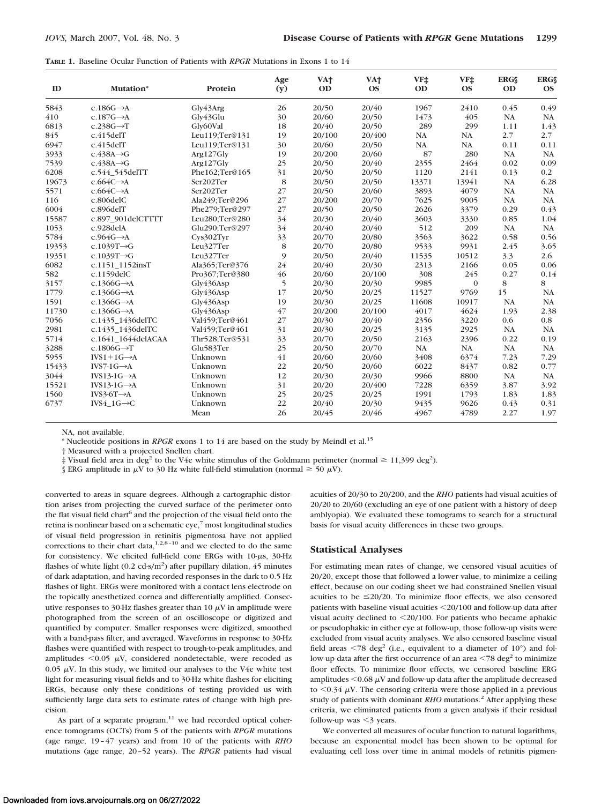| <b>TABLE 1.</b> Baseline Ocular Function of Patients with <i>RPGR</i> Mutations in Exons 1 to 14 |  |
|--------------------------------------------------------------------------------------------------|--|
|--------------------------------------------------------------------------------------------------|--|

| ID    | Mutation*                | Protein        | Age<br>(y) | VA <sup>+</sup><br><b>OD</b> | VA <sup>+</sup><br><b>OS</b> | VF‡<br><b>OD</b> | VF‡<br><b>OS</b> | <b>ERGS</b><br><b>OD</b> | <b>ERGS</b><br><b>OS</b> |
|-------|--------------------------|----------------|------------|------------------------------|------------------------------|------------------|------------------|--------------------------|--------------------------|
| 5843  | c.186G $\rightarrow$ A   | Gly43Arg       | 26         | 20/50                        | 20/40                        | 1967             | 2410             | 0.45                     | 0.49                     |
| 410   | $c.187G \rightarrow A$   | Gly43Glu       | 30         | 20/60                        | 20/50                        | 1473             | 405              | NA                       | NA                       |
| 6813  | $c.238G \rightarrow T$   | Gly60Val       | 18         | 20/40                        | 20/50                        | 289              | 299              | 1.11                     | 1.43                     |
| 845   | c.415delT                | Leu119:Ter@131 | 19         | 20/100                       | 20/400                       | NA               | NA               | 2.7                      | 2.7                      |
| 6947  | c.415delT                | Leu119:Ter@131 | 30         | 20/60                        | 20/50                        | NA               | NA               | 0.11                     | 0.11                     |
| 3933  | $c.438A \rightarrow G$   | Arg127Gly      | 19         | 20/200                       | 20/60                        | 87               | 280              | <b>NA</b>                | <b>NA</b>                |
| 7539  | $c.438A \rightarrow G$   | Arg127Gly      | 25         | 20/50                        | 20/40                        | 2355             | 2464             | 0.02                     | 0.09                     |
| 6208  | c.544 545delTT           | Phe162;Ter@165 | 31         | 20/50                        | 20/50                        | 1120             | 2141             | 0.13                     | 0.2                      |
| 19673 | $c.664C \rightarrow A$   | Ser202Ter      | 8          | 20/50                        | 20/50                        | 13371            | 13941            | NA                       | 6.28                     |
| 5571  | $c.664C \rightarrow A$   | Ser202Ter      | 27         | 20/50                        | 20/60                        | 3893             | 4079             | NA                       | NA                       |
| 116   | c.806delC                | Ala249;Ter@296 | 27         | 20/200                       | 20/70                        | 7625             | 9005             | NA                       | NA                       |
| 6004  | c.896delT                | Phe279;Ter@297 | 27         | 20/50                        | 20/50                        | 2626             | 3379             | 0.29                     | 0.43                     |
| 15587 | c.897 901delCTTTT        | Leu280;Ter@280 | 34         | 20/30                        | 20/40                        | 3603             | 3330             | 0.85                     | 1.04                     |
| 1053  | c.928delA                | Glu290;Ter@297 | 34         | 20/40                        | 20/40                        | 512              | 209              | NA                       | NA                       |
| 5784  | $c.964G \rightarrow A$   | Cys302Tyr      | 33         | 20/70                        | 20/80                        | 3563             | 3622             | 0.58                     | 0.56                     |
| 19353 | c.1039T $\rightarrow$ G  | Leu327Ter      | 8          | 20/70                        | 20/80                        | 9533             | 9931             | 2.45                     | 3.65                     |
| 19351 | c.1039T $\rightarrow$ G  | Leu327Ter      | 9          | 20/50                        | 20/40                        | 11535            | 10512            | 3.3                      | 2.6                      |
| 6082  | c.1151_1152insT          | Ala365;Ter@376 | 24         | 20/40                        | 20/30                        | 2313             | 2166             | 0.05                     | 0.06                     |
| 582   | $c.1159$ del $C$         | Pro367:Ter@380 | 46         | 20/60                        | 20/100                       | 308              | 245              | 0.27                     | 0.14                     |
| 3157  | c.1366G $\rightarrow$ A  | Gly436Asp      | 5          | 20/30                        | 20/30                        | 9985             | $\Omega$         | 8                        | 8                        |
| 1779  | c.1366G $\rightarrow$ A  | Gly436Asp      | 17         | 20/50                        | 20/25                        | 11527            | 9769             | 15                       | NA                       |
| 1591  | c.1366G $\rightarrow$ A  | Gly436Asp      | 19         | 20/30                        | 20/25                        | 11608            | 10917            | <b>NA</b>                | NA                       |
| 11730 | c.1366G $\rightarrow$ A  | Gly436Asp      | 47         | 20/200                       | 20/100                       | 4017             | 4624             | 1.93                     | 2.38                     |
| 7056  | c.1435_1436delTC         | Val459;Ter@461 | 27         | 20/30                        | 20/40                        | 2356             | 3220             | 0.6                      | $0.8\,$                  |
| 2981  | c.1435 1436delTC         | Val459;Ter@461 | 31         | 20/30                        | 20/25                        | 3135             | 2925             | <b>NA</b>                | <b>NA</b>                |
| 5714  | c.1641 1644delACAA       | Thr528;Ter@531 | 33         | 20/70                        | 20/50                        | 2163             | 2396             | 0.22                     | 0.19                     |
| 3288  | c.1806G $\rightarrow$ T  | Glu583Ter      | 25         | 20/50                        | 20/70                        | NA               | NA               | NA                       | NA                       |
| 5955  | $IVS1+1G \rightarrow A$  | Unknown        | 41         | 20/60                        | 20/60                        | 3408             | 6374             | 7.23                     | 7.29                     |
| 15433 | $IVS7-1G \rightarrow A$  | Unknown        | 22         | 20/50                        | 20/60                        | 6022             | 8437             | 0.82                     | 0.77                     |
| 3044  | $IVS13-1G \rightarrow A$ | Unknown        | 12         | 20/30                        | 20/30                        | 9966             | 8800             | NA                       | NA                       |
| 15521 | $IVS13-1G \rightarrow A$ | Unknown        | 31         | 20/20                        | 20/400                       | 7228             | 6359             | 3.87                     | 3.92                     |
| 1560  | $IVS3-6T \rightarrow A$  | Unknown        | 25         | 20/25                        | 20/25                        | 1991             | 1793             | 1.83                     | 1.83                     |
| 6737  | IVS4 $1G \rightarrow C$  | Unknown        | 22         | 20/40                        | 20/30                        | 9435             | 9626             | 0.43                     | 0.31                     |
|       |                          | Mean           | 26         | 20/45                        | 20/46                        | 4967             | 4789             | 2.27                     | 1.97                     |

NA, not available.

\* Nucleotide positions in *RPGR* exons 1 to 14 are based on the study by Meindl et al.<sup>15</sup>

† Measured with a projected Snellen chart.

 $\ddagger$  Visual field area in deg<sup>2</sup> to the V4e white stimulus of the Goldmann perimeter (normal  $\geq 11,399$  deg<sup>2</sup>).

§ ERG amplitude in  $\mu$ V to 30 Hz white full-field stimulation (normal  $\geq$  50  $\mu$ V).

converted to areas in square degrees. Although a cartographic distortion arises from projecting the curved surface of the perimeter onto the flat visual field chart<sup>6</sup> and the projection of the visual field onto the retina is nonlinear based on a schematic eye, $\frac{7}{1}$  most longitudinal studies of visual field progression in retinitis pigmentosa have not applied corrections to their chart data,<sup>1,2,8-10</sup> and we elected to do the same for consistency. We elicited full-field cone ERGs with  $10-\mu s$ ,  $30-Hz$ flashes of white light  $(0.2 \text{ cd-s/m}^2)$  after pupillary dilation, 45 minutes of dark adaptation, and having recorded responses in the dark to 0.5 Hz flashes of light. ERGs were monitored with a contact lens electrode on the topically anesthetized cornea and differentially amplified. Consecutive responses to 30-Hz flashes greater than 10  $\mu$ V in amplitude were photographed from the screen of an oscilloscope or digitized and quantified by computer. Smaller responses were digitized, smoothed with a band-pass filter, and averaged. Waveforms in response to 30-Hz flashes were quantified with respect to trough-to-peak amplitudes, and amplitudes  $< 0.05 \mu V$ , considered nondetectable, were recoded as 0.05  $\mu$ V. In this study, we limited our analyses to the V4e white test light for measuring visual fields and to 30-Hz white flashes for eliciting ERGs, because only these conditions of testing provided us with sufficiently large data sets to estimate rates of change with high precision.

As part of a separate program, $11$  we had recorded optical coherence tomograms (OCTs) from 5 of the patients with *RPGR* mutations (age range, 19 – 47 years) and from 10 of the patients with *RHO* mutations (age range, 20 –52 years). The *RPGR* patients had visual acuities of 20/30 to 20/200, and the *RHO* patients had visual acuities of 20/20 to 20/60 (excluding an eye of one patient with a history of deep amblyopia). We evaluated these tomograms to search for a structural basis for visual acuity differences in these two groups.

#### **Statistical Analyses**

For estimating mean rates of change, we censored visual acuities of 20/20, except those that followed a lower value, to minimize a ceiling effect, because on our coding sheet we had constrained Snellen visual acuities to be  $\leq$ 20/20. To minimize floor effects, we also censored patients with baseline visual acuities 20/100 and follow-up data after visual acuity declined to  $\leq$  20/100. For patients who became aphakic or pseudophakic in either eye at follow-up, those follow-up visits were excluded from visual acuity analyses. We also censored baseline visual field areas  $\leq 78$  deg<sup>2</sup> (i.e., equivalent to a diameter of 10°) and follow-up data after the first occurrence of an area  $\leq$ 78 deg<sup>2</sup> to minimize floor effects. To minimize floor effects, we censored baseline ERG amplitudes  $<$  0.68  $\mu$ V and follow-up data after the amplitude decreased to  $0.34 \mu$ V. The censoring criteria were those applied in a previous study of patients with dominant *RHO* mutations.<sup>2</sup> After applying these criteria, we eliminated patients from a given analysis if their residual follow-up was  $\leq$ 3 years.

We converted all measures of ocular function to natural logarithms, because an exponential model has been shown to be optimal for evaluating cell loss over time in animal models of retinitis pigmen-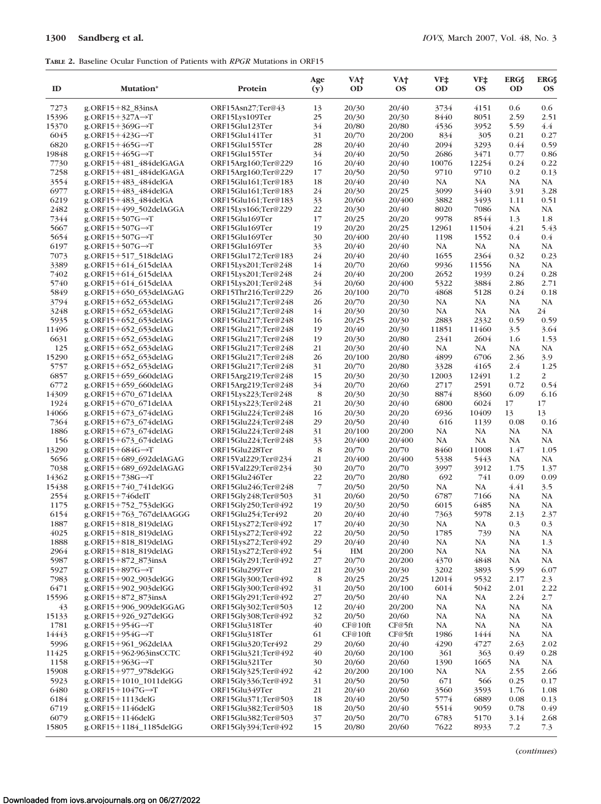## **TABLE 2.** Baseline Ocular Function of Patients with *RPGR* Mutations in ORF15

| ID            | Mutation*                                                 | Protein                                    | Age<br>(y)     | VA†<br>OD       | VA†<br><b>OS</b> | VF‡<br><b>OD</b> | VF‡<br><b>OS</b> | <b>ERGS</b><br><b>OD</b> | <b>ERGS</b><br><b>OS</b> |
|---------------|-----------------------------------------------------------|--------------------------------------------|----------------|-----------------|------------------|------------------|------------------|--------------------------|--------------------------|
| 7273          | $g.$ ORF15+82 83insA                                      | ORF15Asn27;Ter@43                          | 13             | 20/30           | 20/40            | 3734             | 4151             | 0.6                      | 0.6                      |
| 15396         | $g$ .ORF15+327A $\rightarrow$ T                           | ORF15Lys109Ter                             | 25             | 20/30           | 20/30            | 8440             | 8051             | 2.59                     | 2.51                     |
| 15370         | $g$ .ORF15+369G $\rightarrow$ T                           | ORF15Glu123Ter                             | 34             | 20/80           | 20/80            | 4536             | 3952             | 5.59                     | 4.4                      |
| 6045          | $g$ .ORF15+423G $\rightarrow$ T                           | ORF15Glu141Ter                             | 31             | 20/70           | 20/200           | 834              | 305              | 0.21                     | 0.27                     |
| 6820          | $g$ .ORF15+465G $\rightarrow$ T                           | ORF15Glu155Ter                             | 28<br>34       | 20/40           | 20/40            | 2094             | 3293             | 0.44                     | 0.59<br>0.86             |
| 19848<br>7730 | $g$ .ORF15+465G $\rightarrow$ T<br>g.ORF15+481_484delGAGA | ORF15Glu155Ter<br>ORF15Arg160;Ter@229      | 16             | 20/40<br>20/40  | 20/50<br>20/40   | 2686<br>10076    | 3471<br>12254    | 0.77<br>0.24             | 0.22                     |
| 7258          | g.ORF15+481_484delGAGA                                    | ORF15Arg160;Ter@229                        | 17             | 20/50           | 20/50            | 9710             | 9710             | $0.2\,$                  | 0.13                     |
| 3554          | g.ORF15+483 484delGA                                      | ORF15Glu161;Ter@183                        | 18             | 20/40           | 20/40            | NA               | NA               | NA                       | NA                       |
| 6977          | g.ORF15+483_484delGA                                      | ORF15Glu161;Ter@183                        | 24             | 20/30           | 20/25            | 3099             | 3440             | 3.91                     | 3.28                     |
| 6219          | g.ORF15+483_484delGA                                      | ORF15Glu161;Ter@183                        | 33             | 20/60           | 20/400           | 3882             | 3493             | 1.11                     | 0.51                     |
| 2482          | g.ORF15+499_502delAGGA                                    | ORF15Lys166;Ter@229                        | 22             | 20/30           | 20/40            | 8020             | 7086             | NA                       | NA                       |
| 7344          | $g$ .ORF15+507G $\rightarrow$ T                           | ORF15Glu169Ter                             | 17             | 20/25           | 20/20            | 9978             | 8544             | 1.3                      | 1.8                      |
| 5667          | $g$ .ORF15+507G $\rightarrow$ T                           | ORF15Glu169Ter                             | 19             | 20/20           | 20/25            | 12961            | 11504            | 4.21                     | 5.43                     |
| 5654          | $g$ .ORF15+507G $\rightarrow$ T                           | ORF15Glu169Ter                             | 30             | 20/400          | 20/40            | 1198             | 1552             | $0.4\,$                  | 0.4                      |
| 6197          | $g$ .ORF15+507G $\rightarrow$ T                           | ORF15Glu169Ter                             | 33             | 20/40           | 20/40            | NA               | NA               | NA                       | NA                       |
| 7073          | g.ORF15+517_518delAG                                      | ORF15Glu172;Ter@183                        | 24             | 20/40           | 20/40            | 1655             | 2364             | 0.32                     | 0.23                     |
| 3389          | g.ORF15+614_615delAA                                      | ORF15Lys201;Ter@248                        | 14             | 20/70           | 20/60            | 9936             | 11556            | NA                       | NA                       |
| 7402          | g.ORF15+614_615delAA                                      | ORF15Lys201;Ter@248                        | 24             | 20/40           | 20/200           | 2652             | 1939             | 0.24                     | 0.28                     |
| 5740          | g.ORF15+614_615delAA                                      | ORF15Lys201;Ter@248                        | 34             | 20/60           | 20/400           | 5322             | 3884             | 2.86                     | 2.71                     |
| 5849          | g.ORF15+650_653delAGAG                                    | ORF15Thr216;Ter@229                        | 26             | 20/100          | 20/70            | 4868             | 5128             | 0.24                     | 0.18                     |
| 3794          | g.ORF15+652 653delAG                                      | ORF15Glu217;Ter@248                        | 26             | 20/70           | 20/30            | NA               | NA               | NA                       | NA                       |
| 3248          | g.ORF15+652_653delAG                                      | ORF15Glu217;Ter@248                        | 14             | 20/30           | 20/30            | NA               | NA               | NA                       | 24                       |
| 5935          | g.ORF15+652 653delAG                                      | ORF15Glu217;Ter@248                        | 16             | 20/25           | 20/30            | 2883             | 2332             | 0.59                     | 0.59                     |
| 11496         | g.ORF15+652_653delAG                                      | ORF15Glu217;Ter@248                        | 19             | 20/40           | 20/30            | 11851            | 11460            | 3.5                      | 3.64                     |
| 6631          | g.ORF15+652_653delAG                                      | ORF15Glu217;Ter@248                        | 19             | 20/30           | 20/80            | 2341             | 2604             | 1.6                      | 1.53                     |
| 125           | g.ORF15+652_653delAG                                      | ORF15Glu217;Ter@248                        | 21             | 20/30<br>20/100 | 20/40            | NA               | NA               | NA                       | NA                       |
| 15290<br>5757 | g.ORF15+652_653delAG<br>g.ORF15+652_653delAG              | ORF15Glu217;Ter@248<br>ORF15Glu217;Ter@248 | 26<br>31       | 20/70           | 20/80<br>20/80   | 4899<br>3328     | 6706<br>4165     | 2.36<br>2.4              | 3.9<br>1.25              |
| 6857          | g.ORF15+659_660delAG                                      | ORF15Arg219;Ter@248                        | 15             | 20/30           | 20/30            | 12003            | 12491            | 1.2                      | 2                        |
| 6772          | g.ORF15+659_660delAG                                      | ORF15Arg219;Ter@248                        | 34             | 20/70           | 20/60            | 2717             | 2591             | 0.72                     | 0.54                     |
| 14309         | g.ORF15+670_671delAA                                      | ORF15Lys223;Ter@248                        | 8              | 20/30           | 20/30            | 8874             | 8360             | 6.09                     | 6.16                     |
| 1924          | g.ORF15+670_671delAA                                      | ORF15Lys223;Ter@248                        | 21             | 20/30           | 20/40            | 6800             | 6024             | 17                       | 17                       |
| 14066         | g.ORF15+673_674delAG                                      | ORF15Glu224;Ter@248                        | 16             | 20/30           | 20/20            | 6936             | 10409            | 13                       | 13                       |
| 7364          | g.ORF15+673_674delAG                                      | ORF15Glu224;Ter@248                        | 29             | 20/50           | 20/40            | 616              | 1139             | 0.08                     | 0.16                     |
| 1886          | g.ORF15+673_674delAG                                      | ORF15Glu224;Ter@248                        | 31             | 20/100          | 20/200           | NA               | NA               | NA                       | NA                       |
| 156           | g.ORF15+673_674delAG                                      | ORF15Glu224;Ter@248                        | 33             | 20/400          | 20/400           | NA               | NA               | NA                       | NA                       |
| 13290         | $g$ .ORF15+684G $\rightarrow$ T                           | ORF15Glu228Ter                             | 8              | 20/70           | 20/70            | 8460             | 11008            | 1.47                     | 1.05                     |
| 5656          | g.ORF15+689_692delAGAG                                    | ORF15Val229;Ter@234                        | 21             | 20/400          | 20/400           | 5338             | 5443             | NA                       | NA                       |
| 7038          | g.ORF15+689_692delAGAG                                    | ORF15Val229;Ter@234                        | 30             | 20/70           | 20/70            | 3997             | 3912             | 1.75                     | 1.37                     |
| 14362         | $g$ .ORF15+738G $\rightarrow$ T                           | ORF15Glu246Ter                             | 22             | 20/70           | 20/80            | 692              | 741              | 0.09                     | 0.09                     |
| 15438         | g.ORF15+740_741delGG                                      | ORF15Glu246;Ter@248                        | $\overline{7}$ | 20/50           | 20/50            | NA               | NA               | 4.41                     | 3.5                      |
| 2554          | g. $ORF15+746$ delT                                       | ORF15Gly248;Ter@503                        | 31             | 20/60           | 20/50            | 6787             | 7166             | NA                       | NA                       |
| 1175          | g.ORF15+752_753delGG                                      | ORF15Gly250;Ter@492                        | 19             | 20/30           | 20/50            | 6015             | 6485             | NA                       | NA                       |
| 6154          | g.ORF15+763_767delAAGGG                                   | ORF15Glu254;Ter492                         | 20             | 20/40           | 20/40            | 7363             | 5978             | 2.13                     | 2.37                     |
| 1887          | g.ORF15+818 819delAG                                      | ORF15Lys272;Ter@492                        | 17             | 20/40           | 20/30            | NA               | NA               | 0.3                      | 0.3                      |
| 4025          | g.ORF15+818_819delAG                                      | ORF15Lys272;Ter@492                        | 22             | 20/50           | 20/50            | 1785             | 739              | NA                       | NA                       |
| 1888          | g.ORF15+818_819delAG                                      | ORF15Lys272;Ter@492                        | 29             | 20/40           | 20/40            | NA               | NA               | NA                       | 1.3                      |
| 2964          | g.ORF15+818_819delAG                                      | ORF15Lys272;Ter@492                        | 54             | HM              | 20/200           | NA               | NA               | NA                       | NA                       |
| 5987<br>5927  | g.ORF15+872_873insA<br>$g$ .ORF15+897G $\rightarrow$ T    | ORF15Gly291;Ter@492<br>ORF15Glu299Ter      | 27<br>21       | 20/70<br>20/30  | 20/200<br>20/30  | 4370<br>3202     | 4848<br>3893     | NA<br>5.99               | NA<br>6.07               |
| 7983          | g.ORF15+902_903delGG                                      | ORF15Gly300;Ter@492                        | 8              | 20/25           | 20/25            | 12014            | 9532             | 2.17                     | 2.3                      |
| 6471          | g.ORF15+902_903delGG                                      | ORF15Gly300;Ter@492                        | 31             | 20/50           | 20/100           | 6014             | 5042             | 2.01                     | 2.22                     |
| 15596         | g.ORF15+872_873insA                                       | ORF15Gly291;Ter@492                        | 27             | 20/50           | 20/40            | NA               | NA               | 2.24                     | 2.7                      |
| 43            | g.ORF15+906_909delGGAG                                    | ORF15Gly302;Ter@503                        | 12             | 20/40           | 20/200           | NA               | NA               | NA                       | NA                       |
| 15133         | g.ORF15+926_927delGG                                      | ORF15Gly308;Ter@492                        | 32             | 20/50           | 20/60            | NA               | NA               | NA                       | NA                       |
| 1781          | $g$ .ORF15+954G $\rightarrow$ T                           | ORF15Glu318Ter                             | 40             | CF@10ft         | CF@5ft           | NA               | NA               | NA                       | NA                       |
| 14443         | $g$ .ORF15+954G $\rightarrow$ T                           | ORF15Glu318Ter                             | 61             | CF@10ft         | CF@5ft           | 1986             | 1444             | NA                       | NA                       |
| 5996          | g.ORF15+961_962delAA                                      | ORF15Glu320;Ter492                         | 29             | 20/60           | 20/40            | 4290             | 4727             | 2.63                     | 2.02                     |
| 11425         | g.ORF15+962-963insCCTC                                    | ORF15Glu321;Ter@492                        | 40             | 20/60           | 20/100           | 361              | 363              | 0.49                     | 0.28                     |
| 1158          | $g$ .ORF15+963G $\rightarrow$ T                           | ORF15Glu321Ter                             | 30             | 20/60           | 20/60            | 1390             | 1665             | NA                       | NA                       |
| 15908         | g.ORF15+977_978delGG                                      | ORF15Gly325;Ter@492                        | 42             | 20/200          | 20/100           | NA               | NA               | 2.55                     | 2.66                     |
| 5923          | g.ORF15+1010_1011delGG                                    | ORF15Gly336;Ter@492                        | 31             | 20/50           | 20/50            | 671              | 566              | 0.25                     | 0.17                     |
| 6480          | $g$ .ORF15+1047G $\rightarrow$ T                          | ORF15Glu349Ter                             | 21             | 20/40           | 20/60            | 3560             | 3593             | 1.76                     | 1.08                     |
| 6184          | $g$ .ORF15+1113delG                                       | ORF15Glu371;Ter@503                        | 18             | 20/40           | 20/50            | 5774             | 6889             | 0.08                     | 0.13                     |
| 6719          | $g$ .ORF15+1146delG                                       | ORF15Glu382;Ter@503                        | 18             | 20/50           | 20/40            | 5514             | 9059             | 0.78                     | 0.49                     |
| 6079          | $g$ .ORF15+1146delG                                       | ORF15Glu382;Ter@503                        | 37             | 20/50           | 20/70            | 6783             | 5170             | 3.14                     | 2.68                     |
| 15805         | g.ORF15+1184_1185delGG                                    | ORF15Gly394;Ter@492                        | 15             | 20/80           | 20/60            | 7622             | 8933             | 7.2                      | 7.3                      |

(*continues*)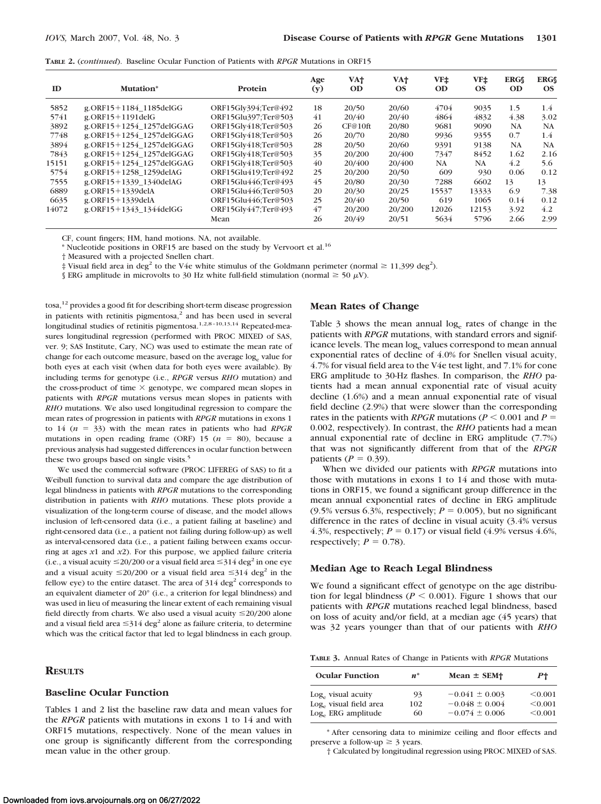|  | <b>TABLE 2.</b> <i>(continued)</i> . Baseline Ocular Function of Patients with <i>RPGR</i> Mutations in ORF15 |  |  |  |  |  |  |  |  |  |
|--|---------------------------------------------------------------------------------------------------------------|--|--|--|--|--|--|--|--|--|
|--|---------------------------------------------------------------------------------------------------------------|--|--|--|--|--|--|--|--|--|

| ID    | Mutation*                | Protein             | Age<br>(y) | VA†<br><b>OD</b> | VA†<br><b>OS</b> | VF‡<br><b>OD</b> | VF±<br><b>OS</b> | <b>ERGS</b><br><b>OD</b> | <b>ERGS</b><br>OS |
|-------|--------------------------|---------------------|------------|------------------|------------------|------------------|------------------|--------------------------|-------------------|
| 5852  | g.ORF15+1184 1185delGG   | ORF15Glv394;Ter@492 | 18         | 20/50            | 20/60            | 4704             | 9035             | 1.5                      | $1.4^{\circ}$     |
| 5741  | $g$ .ORF15+1191delG      | ORF15Glu397:Ter@503 | 41         | 20/40            | 20/40            | 4864             | 4832             | 4.38                     | 3.02              |
| 3892  | g.ORF15+1254 1257delGGAG | ORF15Gly418;Ter@503 | 26         | CF@10ft          | 20/80            | 9681             | 9090             | <b>NA</b>                | <b>NA</b>         |
| 7748  | g.ORF15+1254 1257delGGAG | ORF15Glv418:Ter@503 | 26         | 20/70            | 20/80            | 9936             | 9355             | 0.7                      | 1.4               |
| 3894  | g.ORF15+1254 1257delGGAG | ORF15Glv418;Ter@503 | 28         | 20/50            | 20/60            | 9391             | 9138             | <b>NA</b>                | <b>NA</b>         |
| 7843  | g.ORF15+1254_1257delGGAG | ORF15Gly418;Ter@503 | 35         | 20/200           | 20/400           | 7347             | 8452             | 1.62                     | 2.16              |
| 15151 | g.ORF15+1254 1257delGGAG | ORF15Glv418;Ter@503 | 40         | 20/400           | 20/400           | NA               | NA.              | 4.2                      | 5.6               |
| 5754  | g.ORF15+1258_1259delAG   | ORF15Glu419;Ter@492 | 25         | 20/200           | 20/50            | 609              | 930              | 0.06                     | 0.12              |
| 7555  | g.ORF15+1339 1340delAG   | ORF15Glu446:Ter@493 | 45         | 20/80            | 20/30            | 7288             | 6602             | 13                       | 13                |
| 6889  | g. $ORF15+1339$ delA     | ORF15Glu446:Ter@503 | 20         | 20/30            | 20/25            | 15537            | 13333            | 6.9                      | 7.38              |
| 6635  | g. $ORF15+1339$ delA     | ORF15Glu446:Ter@503 | 25         | 20/40            | 20/50            | 619              | 1065             | 0.14                     | 0.12              |
| 14072 | g.ORF15+1343 1344delGG   | ORF15Gly447;Ter@493 | 47         | 20/200           | 20/200           | 12026            | 12153            | 3.92                     | 4.2               |
|       |                          | Mean                | 26         | 20/49            | 20/51            | 5634             | 5796             | 2.66                     | 2.99              |

CF, count fingers; HM, hand motions. NA, not available.

\* Nucleotide positions in ORF15 are based on the study by Vervoort et al.16

† Measured with a projected Snellen chart.

 $\ddagger$  Visual field area in deg<sup>2</sup> to the V4e white stimulus of the Goldmann perimeter (normal  $\geq 11,399$  deg<sup>2</sup>).

§ ERG amplitude in microvolts to 30 Hz white full-field stimulation (normal  $\geq$  50  $\mu$ V).

tosa,12 provides a good fit for describing short-term disease progression in patients with retinitis pigmentosa, $<sup>2</sup>$  and has been used in several</sup> longitudinal studies of retinitis pigmentosa.<sup>1,2,8-10,13,14</sup> Repeated-measures longitudinal regression (performed with PROC MIXED of SAS, ver. 9; SAS Institute, Cary, NC) was used to estimate the mean rate of change for each outcome measure, based on the average log<sub>e</sub> value for both eyes at each visit (when data for both eyes were available). By including terms for genotype (i.e., *RPGR* versus *RHO* mutation) and the cross-product of time  $\times$  genotype, we compared mean slopes in patients with *RPGR* mutations versus mean slopes in patients with *RHO* mutations. We also used longitudinal regression to compare the mean rates of progression in patients with *RPGR* mutations in exons 1 to 14 (*n* - 33) with the mean rates in patients who had *RPGR* mutations in open reading frame (ORF)  $15$  ( $n = 80$ ), because a previous analysis had suggested differences in ocular function between these two groups based on single visits.<sup>5</sup>

We used the commercial software (PROC LIFEREG of SAS) to fit a Weibull function to survival data and compare the age distribution of legal blindness in patients with *RPGR* mutations to the corresponding distribution in patients with *RHO* mutations. These plots provide a visualization of the long-term course of disease, and the model allows inclusion of left-censored data (i.e., a patient failing at baseline) and right-censored data (i.e., a patient not failing during follow-up) as well as interval-censored data (i.e., a patient failing between exams occurring at ages *x*1 and *x*2). For this purpose, we applied failure criteria (i.e., a visual acuity  $\leq$  20/200 or a visual field area  $\leq$  314 deg<sup>2</sup> in one eye and a visual acuity  $\leq$ 20/200 or a visual field area  $\leq$ 314 deg<sup>2</sup> in the fellow eye) to the entire dataset. The area of  $314 \text{ deg}^2$  corresponds to an equivalent diameter of 20° (i.e., a criterion for legal blindness) and was used in lieu of measuring the linear extent of each remaining visual field directly from charts. We also used a visual acuity  $\leq$ 20/200 alone and a visual field area  $\leq$ 314 deg<sup>2</sup> alone as failure criteria, to determine which was the critical factor that led to legal blindness in each group.

#### **RESULTS**

#### **Baseline Ocular Function**

Tables 1 and 2 list the baseline raw data and mean values for the *RPGR* patients with mutations in exons 1 to 14 and with ORF15 mutations, respectively. None of the mean values in one group is significantly different from the corresponding mean value in the other group.

#### **Mean Rates of Change**

Table  $3$  shows the mean annual  $log_e$  rates of change in the patients with *RPGR* mutations, with standard errors and significance levels. The mean log<sub>e</sub> values correspond to mean annual exponential rates of decline of 4.0% for Snellen visual acuity, 4.7% for visual field area to the V4e test light, and 7.1% for cone ERG amplitude to 30-Hz flashes. In comparison, the *RHO* patients had a mean annual exponential rate of visual acuity decline (1.6%) and a mean annual exponential rate of visual field decline (2.9%) that were slower than the corresponding rates in the patients with *RPGR* mutations ( $P \le 0.001$  and  $P =$ 0.002, respectively). In contrast, the *RHO* patients had a mean annual exponential rate of decline in ERG amplitude (7.7%) that was not significantly different from that of the *RPGR* patients ( $P = 0.39$ ).

When we divided our patients with *RPGR* mutations into those with mutations in exons 1 to 14 and those with mutations in ORF15, we found a significant group difference in the mean annual exponential rates of decline in ERG amplitude  $(9.5\%$  versus 6.3%, respectively;  $P = 0.005$ ), but no significant difference in the rates of decline in visual acuity (3.4% versus 4.3%, respectively;  $P = 0.17$ ) or visual field  $(4.9\%$  versus  $4.6\%$ , respectively;  $P = 0.78$ ).

#### **Median Age to Reach Legal Blindness**

We found a significant effect of genotype on the age distribution for legal blindness ( $P \le 0.001$ ). Figure 1 shows that our patients with *RPGR* mutations reached legal blindness, based on loss of acuity and/or field, at a median age (45 years) that was 32 years younger than that of our patients with *RHO*

**TABLE 3.** Annual Rates of Change in Patients with *RPGR* Mutations

| <b>Ocular Function</b>                       | $n^*$     | $Mean \pm SEM$                           | $P_{\perp}$        |
|----------------------------------------------|-----------|------------------------------------------|--------------------|
| Log. visual acuity                           | 93        | $-0.041 \pm 0.003$                       | < 0.001            |
| Log. visual field area<br>Log. ERG amplitude | 102<br>60 | $-0.048 \pm 0.004$<br>$-0.074 \pm 0.006$ | < 0.001<br>< 0.001 |

\* After censoring data to minimize ceiling and floor effects and preserve a follow-up  $\geq$  3 years.

† Calculated by longitudinal regression using PROC MIXED of SAS.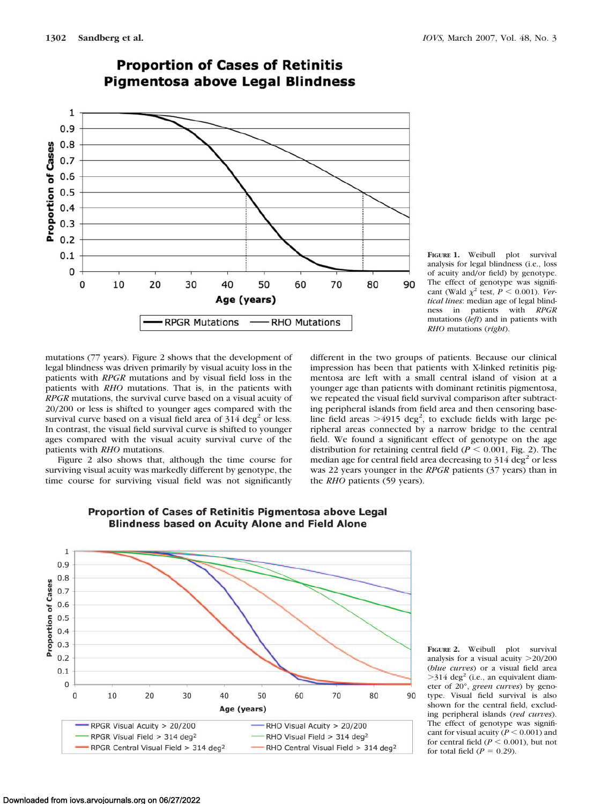

# **Proportion of Cases of Retinitis Pigmentosa above Legal Blindness**

**FIGURE 1.** Weibull plot survival analysis for legal blindness (i.e., loss of acuity and/or field) by genotype. The effect of genotype was significant (Wald  $\chi^2$  test,  $P < 0.001$ ). *Vertical lines*: median age of legal blindness in patients with *RPGR* mutations (*left*) and in patients with *RHO* mutations (*right*).

mutations (77 years). Figure 2 shows that the development of legal blindness was driven primarily by visual acuity loss in the patients with *RPGR* mutations and by visual field loss in the patients with *RHO* mutations. That is, in the patients with *RPGR* mutations, the survival curve based on a visual acuity of 20/200 or less is shifted to younger ages compared with the survival curve based on a visual field area of  $314 \text{ deg}^2$  or less. In contrast, the visual field survival curve is shifted to younger ages compared with the visual acuity survival curve of the patients with *RHO* mutations.

Figure 2 also shows that, although the time course for surviving visual acuity was markedly different by genotype, the time course for surviving visual field was not significantly different in the two groups of patients. Because our clinical impression has been that patients with X-linked retinitis pigmentosa are left with a small central island of vision at a younger age than patients with dominant retinitis pigmentosa, we repeated the visual field survival comparison after subtracting peripheral islands from field area and then censoring baseline field areas  $>4915$  deg<sup>2</sup>, to exclude fields with large peripheral areas connected by a narrow bridge to the central field. We found a significant effect of genotype on the age distribution for retaining central field ( $P \le 0.001$ , Fig. 2). The median age for central field area decreasing to  $314 \text{ deg}^2$  or less was 22 years younger in the *RPGR* patients (37 years) than in the *RHO* patients (59 years).



# Proportion of Cases of Retinitis Pigmentosa above Legal **Blindness based on Acuity Alone and Field Alone**

**FIGURE 2.** Weibull plot survival analysis for a visual acuity 20/200 (*blue curves*) or a visual field area  $>314$  deg<sup>2</sup> (i.e., an equivalent diameter of 20°, *green curves*) by genotype. Visual field survival is also shown for the central field, excluding peripheral islands (*red curves*). The effect of genotype was significant for visual acuity ( $P \leq 0.001$ ) and for central field ( $P \le 0.001$ ), but not for total field  $(P = 0.29)$ .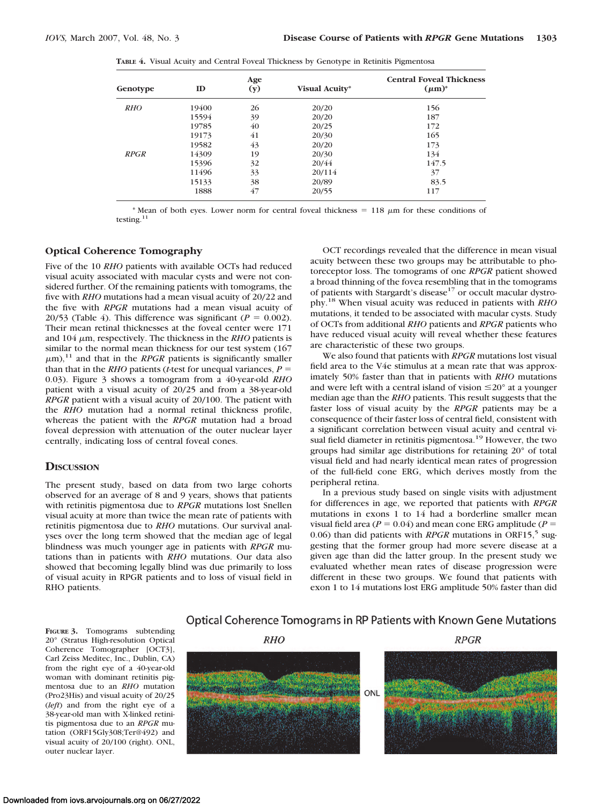**TABLE 4.** Visual Acuity and Central Foveal Thickness by Genotype in Retinitis Pigmentosa

| Genotype    | ID    | Age<br>(y) | Visual Acuity* | <b>Central Foveal Thickness</b><br>$(\mu m)^*$ |
|-------------|-------|------------|----------------|------------------------------------------------|
|             |       |            |                |                                                |
| <b>RHO</b>  | 19400 | 26         | 20/20          | 156                                            |
|             | 15594 | 39         | 20/20          | 187                                            |
|             | 19785 | 40         | 20/25          | 172                                            |
|             | 19173 | 41         | 20/30          | 165                                            |
|             | 19582 | 43         | 20/20          | 173                                            |
| <b>RPGR</b> | 14309 | 19         | 20/30          | 134                                            |
|             | 15396 | 32         | 20/44          | 147.5                                          |
|             | 11496 | 33         | 20/114         | 37                                             |
|             | 15133 | 38         | 20/89          | 83.5                                           |
|             | 1888  | 47         | 20/55          | 117                                            |

\* Mean of both eyes. Lower norm for central foveal thickness  $= 118 \mu m$  for these conditions of testing. $<sup>1</sup>$ </sup>

#### **Optical Coherence Tomography**

Five of the 10 *RHO* patients with available OCTs had reduced visual acuity associated with macular cysts and were not considered further. Of the remaining patients with tomograms, the five with *RHO* mutations had a mean visual acuity of 20/22 and the five with *RPGR* mutations had a mean visual acuity of 20/53 (Table 4). This difference was significant ( $P = 0.002$ ). Their mean retinal thicknesses at the foveal center were 171 and  $104 \mu m$ , respectively. The thickness in the *RHO* patients is similar to the normal mean thickness for our test system  $(167)$  $\mu$ m),<sup>11</sup> and that in the *RPGR* patients is significantly smaller than that in the *RHO* patients (*t*-test for unequal variances,  $P =$ 0.03). Figure 3 shows a tomogram from a 40-year-old *RHO* patient with a visual acuity of 20/25 and from a 38-year-old *RPGR* patient with a visual acuity of 20/100. The patient with the *RHO* mutation had a normal retinal thickness profile, whereas the patient with the *RPGR* mutation had a broad foveal depression with attenuation of the outer nuclear layer centrally, indicating loss of central foveal cones.

#### **DISCUSSION**

The present study, based on data from two large cohorts observed for an average of 8 and 9 years, shows that patients with retinitis pigmentosa due to *RPGR* mutations lost Snellen visual acuity at more than twice the mean rate of patients with retinitis pigmentosa due to *RHO* mutations. Our survival analyses over the long term showed that the median age of legal blindness was much younger age in patients with *RPGR* mutations than in patients with *RHO* mutations. Our data also showed that becoming legally blind was due primarily to loss of visual acuity in RPGR patients and to loss of visual field in RHO patients.

OCT recordings revealed that the difference in mean visual acuity between these two groups may be attributable to photoreceptor loss. The tomograms of one *RPGR* patient showed a broad thinning of the fovea resembling that in the tomograms of patients with Stargardt's disease<sup>17</sup> or occult macular dystrophy.18 When visual acuity was reduced in patients with *RHO* mutations, it tended to be associated with macular cysts. Study of OCTs from additional *RHO* patients and *RPGR* patients who have reduced visual acuity will reveal whether these features are characteristic of these two groups.

We also found that patients with *RPGR* mutations lost visual field area to the V4e stimulus at a mean rate that was approximately 50% faster than that in patients with *RHO* mutations and were left with a central island of vision  $\leq$ 20° at a younger median age than the *RHO* patients. This result suggests that the faster loss of visual acuity by the *RPGR* patients may be a consequence of their faster loss of central field, consistent with a significant correlation between visual acuity and central visual field diameter in retinitis pigmentosa.<sup>19</sup> However, the two groups had similar age distributions for retaining 20° of total visual field and had nearly identical mean rates of progression of the full-field cone ERG, which derives mostly from the peripheral retina.

In a previous study based on single visits with adjustment for differences in age, we reported that patients with *RPGR* mutations in exons 1 to 14 had a borderline smaller mean visual field area ( $P = 0.04$ ) and mean cone ERG amplitude ( $P =$ 0.06) than did patients with *RPGR* mutations in ORF15,<sup>5</sup> suggesting that the former group had more severe disease at a given age than did the latter group. In the present study we evaluated whether mean rates of disease progression were different in these two groups. We found that patients with exon 1 to 14 mutations lost ERG amplitude 50% faster than did

**FIGURE 3.** Tomograms subtending 20° (Stratus High-resolution Optical Coherence Tomographer [OCT3], Carl Zeiss Meditec, Inc., Dublin, CA) from the right eye of a 40-year-old woman with dominant retinitis pigmentosa due to an *RHO* mutation (Pro23His) and visual acuity of 20/25 (*left*) and from the right eye of a 38-year-old man with X-linked retinitis pigmentosa due to an *RPGR* mutation (ORF15Gly308;Ter@492) and visual acuity of 20/100 (right). ONL, outer nuclear layer.

# Optical Coherence Tomograms in RP Patients with Known Gene Mutations